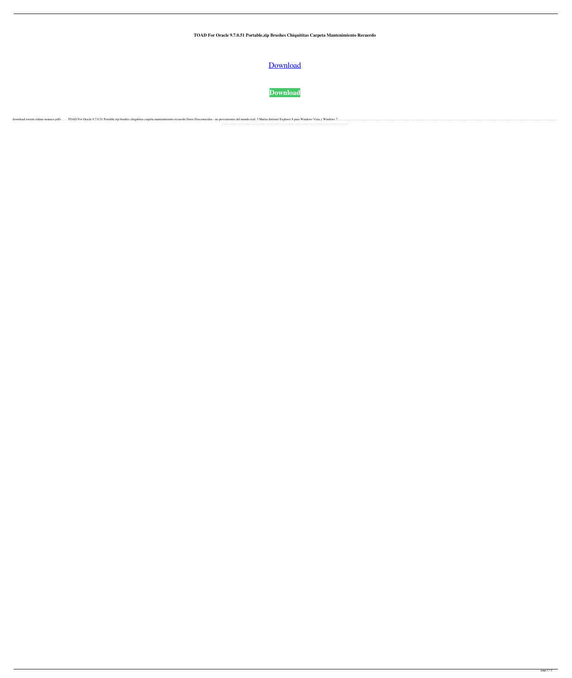**TOAD For Oracle 9.7.0.51 Portable.zip Brushes Chiquititas Carpeta Mantenimiento Recuerdo**

## [Download](http://evacdir.com/detergents.petrov?bookmaker=/VE9BRCBGb3IgT3JhY2xlIDkuNy4wLjUxIFBvcnRhYmxlLnppcCBicnVzaGVzIGNoaXF1aXRpdGFzIGNhcnBldGEgbWFudGVuaW1pZW50byByZWN1ZXJkbwVE9&ZG93bmxvYWR8cXo2TVRseGNYeDhNVFkxTWpjME1EZzJObng4TWpVM05IeDhLRTBwSUhKbFlXUXRZbXh2WnlCYlJtRnpkQ0JIUlU1ZA=brig)

**[Download](http://evacdir.com/detergents.petrov?bookmaker=/VE9BRCBGb3IgT3JhY2xlIDkuNy4wLjUxIFBvcnRhYmxlLnppcCBicnVzaGVzIGNoaXF1aXRpdGFzIGNhcnBldGEgbWFudGVuaW1pZW50byByZWN1ZXJkbwVE9&ZG93bmxvYWR8cXo2TVRseGNYeDhNVFkxTWpjME1EZzJObng4TWpVM05IeDhLRTBwSUhKbFlXUXRZbXh2WnlCYlJtRnpkQ0JIUlU1ZA=brig)**

. . . . . . . . . . . . . . . . . . . . . . . . . . . . . . . . . . . . . . . . . . . . . . . . . . . . . . . . . . . . . . . . . . . . . . . . . . . . . . .

download torrent zidane monaco pdfs . . . TOAD For Oracle 9.7.0.51 Portable.zip brushes chiquititas carpeta mantenimiento recuerdo Datos Desconocidos - no provenientes del mundo real. 3 Marías Internet Explorer 8 para Wind